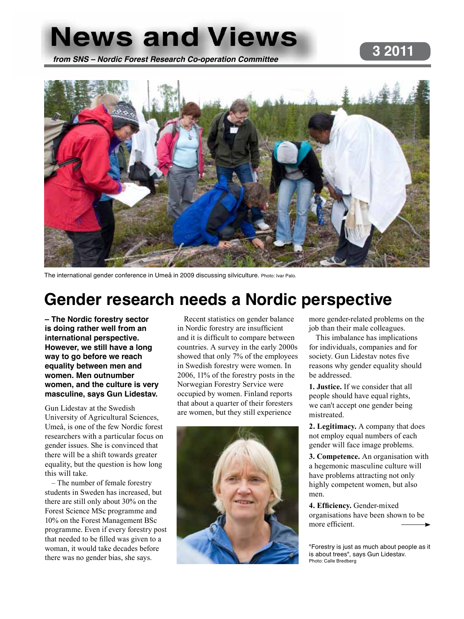# **News and Views 3 2011 from SNS – Nordic Forest Research Co-operation Committee**



The international gender conference in Umeå in 2009 discussing silviculture. Photo: Ivar Palo.

# **Gender research needs a Nordic perspective**

**– The Nordic forestry sector is doing rather well from an international perspective. However, we still have a long way to go before we reach equality between men and women. Men outnumber women, and the culture is very masculine, says Gun Lidestav.**

Gun Lidestav at the Swedish University of Agricultural Sciences, Umeå, is one of the few Nordic forest researchers with a particular focus on gender issues. She is convinced that there will be a shift towards greater equality, but the question is how long this will take.

– The number of female forestry students in Sweden has increased, but there are still only about 30% on the Forest Science MSc programme and 10% on the Forest Management BSc programme. Even if every forestry post that needed to be filled was given to a woman, it would take decades before there was no gender bias, she says.

Recent statistics on gender balance in Nordic forestry are insufficient and it is difficult to compare between countries. A survey in the early 2000s showed that only 7% of the employees in Swedish forestry were women. In 2006, 11% of the forestry posts in the Norwegian Forestry Service were occupied by women. Finland reports that about a quarter of their foresters are women, but they still experience



more gender-related problems on the job than their male colleagues.

This imbalance has implications for individuals, companies and for society. Gun Lidestav notes five reasons why gender equality should be addressed.

**1. Justice.** If we consider that all people should have equal rights, we can't accept one gender being mistreated.

**2. Legitimacy.** A company that does not employ equal numbers of each gender will face image problems.

**3. Competence.** An organisation with a hegemonic masculine culture will have problems attracting not only highly competent women, but also men.

**4. Efficiency.** Gender-mixed organisations have been shown to be more efficient.

"Forestry is just as much about people as it is about trees", says Gun Lidestav. Photo: Calle Bredberg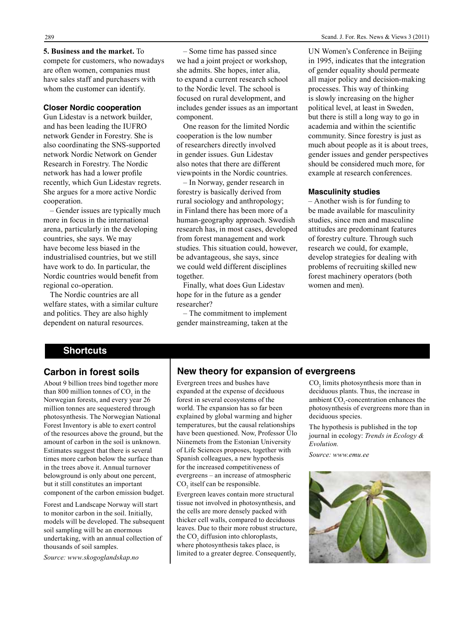**5. Business and the market.** To compete for customers, who nowadays are often women, companies must have sales staff and purchasers with whom the customer can identify.

#### **Closer Nordic cooperation**

Gun Lidestav is a network builder, and has been leading the IUFRO network Gender in Forestry. She is also coordinating the SNS-supported network Nordic Network on Gender Research in Forestry. The Nordic network has had a lower profile recently, which Gun Lidestav regrets. She argues for a more active Nordic cooperation.

– Gender issues are typically much more in focus in the international arena, particularly in the developing countries, she says. We may have become less biased in the industrialised countries, but we still have work to do. In particular, the Nordic countries would benefit from regional co-operation.

The Nordic countries are all welfare states, with a similar culture and politics. They are also highly dependent on natural resources.

– Some time has passed since we had a joint project or workshop, she admits. She hopes, inter alia, to expand a current research school to the Nordic level. The school is focused on rural development, and includes gender issues as an important component.

One reason for the limited Nordic cooperation is the low number of researchers directly involved in gender issues. Gun Lidestav also notes that there are different viewpoints in the Nordic countries.

– In Norway, gender research in forestry is basically derived from rural sociology and anthropology; in Finland there has been more of a human-geography approach. Swedish research has, in most cases, developed from forest management and work studies. This situation could, however, be advantageous, she says, since we could weld different disciplines together.

Finally, what does Gun Lidestav hope for in the future as a gender researcher?

– The commitment to implement gender mainstreaming, taken at the UN Women's Conference in Beijing in 1995, indicates that the integration of gender equality should permeate all major policy and decision-making processes. This way of thinking is slowly increasing on the higher political level, at least in Sweden, but there is still a long way to go in academia and within the scientific community. Since forestry is just as much about people as it is about trees, gender issues and gender perspectives should be considered much more, for example at research conferences.

#### **Masculinity studies**

– Another wish is for funding to be made available for masculinity studies, since men and masculine attitudes are predominant features of forestry culture. Through such research we could, for example, develop strategies for dealing with problems of recruiting skilled new forest machinery operators (both women and men).

#### **Shortcuts**

#### **Carbon in forest soils**

About 9 billion trees bind together more than 800 million tonnes of  $CO<sub>2</sub>$  in the Norwegian forests, and every year 26 million tonnes are sequestered through photosynthesis. The Norwegian National Forest Inventory is able to exert control of the resources above the ground, but the amount of carbon in the soil is unknown. Estimates suggest that there is several times more carbon below the surface than in the trees above it. Annual turnover belowground is only about one percent, but it still constitutes an important component of the carbon emission budget.

Forest and Landscape Norway will start to monitor carbon in the soil. Initially, models will be developed. The subsequent soil sampling will be an enormous undertaking, with an annual collection of thousands of soil samples.

*Source: www.skogoglandskap.no*

#### **New theory for expansion of evergreens**

Evergreen trees and bushes have expanded at the expense of deciduous forest in several ecosystems of the world. The expansion has so far been explained by global warming and higher temperatures, but the causal relationships have been questioned. Now, Professor Ülo Niinemets from the Estonian University of Life Sciences proposes, together with Spanish colleagues, a new hypothesis for the increased competitiveness of evergreens – an increase of atmospheric  $CO<sub>2</sub>$  itself can be responsible.

Evergreen leaves contain more structural tissue not involved in photosynthesis, and the cells are more densely packed with thicker cell walls, compared to deciduous leaves. Due to their more robust structure, the  $CO<sub>2</sub>$  diffusion into chloroplasts, where photosynthesis takes place, is limited to a greater degree. Consequently,

 $CO<sub>2</sub>$  limits photosynthesis more than in deciduous plants. Thus, the increase in ambient  $CO_2$ -concentration enhances the photosynthesis of evergreens more than in deciduous species.

The hypothesis is published in the top journal in ecology: *Trends in Ecology & Evolution.*

*Source: www.emu.ee* 

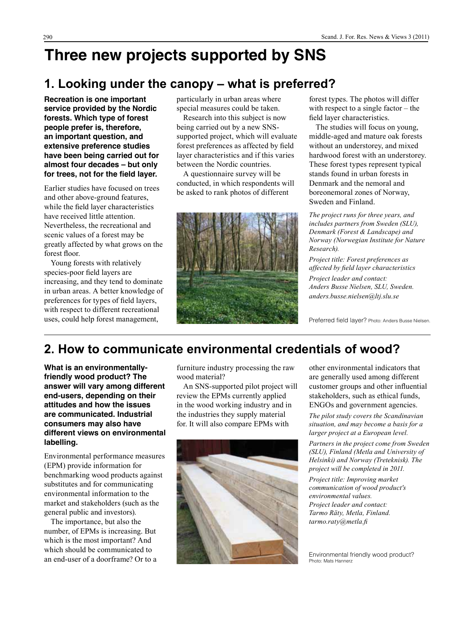# **Three new projects supported by SNS**

### **1. Looking under the canopy – what is preferred?**

**Recreation is one important service provided by the Nordic forests. Which type of forest people prefer is, therefore, an important question, and extensive preference studies have been being carried out for almost four decades – but only for trees, not for the field layer.**

Earlier studies have focused on trees and other above-ground features, while the field layer characteristics have received little attention. Nevertheless, the recreational and scenic values of a forest may be greatly affected by what grows on the forest floor.

Young forests with relatively species-poor field layers are increasing, and they tend to dominate in urban areas. A better knowledge of preferences for types of field layers, with respect to different recreational uses, could help forest management,

particularly in urban areas where special measures could be taken.

Research into this subject is now being carried out by a new SNSsupported project, which will evaluate forest preferences as affected by field layer characteristics and if this varies between the Nordic countries.

A questionnaire survey will be conducted, in which respondents will be asked to rank photos of different



forest types. The photos will differ with respect to a single factor – the field layer characteristics.

The studies will focus on young, middle-aged and mature oak forests without an understorey, and mixed hardwood forest with an understorey. These forest types represent typical stands found in urban forests in Denmark and the nemoral and boreonemoral zones of Norway, Sweden and Finland.

*The project runs for three years, and includes partners from Sweden (SLU), Denmark (Forest & Landscape) and Norway (Norwegian Institute for Nature Research).*

*Project title: Forest preferences as affected by field layer characteristics*

*Project leader and contact: Anders Busse Nielsen, SLU, Sweden. anders.busse.nielsen@ltj.slu.se*

Preferred field layer? Photo: Anders Busse Nielsen.

### **2. How to communicate environmental credentials of wood?**

**What is an environmentallyfriendly wood product? The answer will vary among different end-users, depending on their attitudes and how the issues are communicated. Industrial consumers may also have different views on environmental labelling.**

Environmental performance measures (EPM) provide information for benchmarking wood products against substitutes and for communicating environmental information to the market and stakeholders (such as the general public and investors).

The importance, but also the number, of EPMs is increasing. But which is the most important? And which should be communicated to an end-user of a doorframe? Or to a

furniture industry processing the raw wood material?

An SNS-supported pilot project will review the EPMs currently applied in the wood working industry and in the industries they supply material for. It will also compare EPMs with



other environmental indicators that are generally used among different customer groups and other influential stakeholders, such as ethical funds, ENGOs and government agencies.

*The pilot study covers the Scandinavian situation, and may become a basis for a larger project at a European level.* 

*Partners in the project come from Sweden (SLU), Finland (Metla and University of Helsinki) and Norway (Treteknisk). The project will be completed in 2011.*

*Project title: Improving market communication of wood product's environmental values. Project leader and contact: Tarmo Räty, Metla, Finland. tarmo.raty@metla.fi*

Environmental friendly wood product? Photo: Mats Hannerz